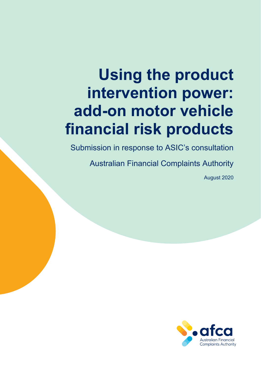# **Using the product intervention power: add-on motor vehicle financial risk products**

Submission in response to ASIC's consultation

Australian Financial Complaints Authority

August 2020

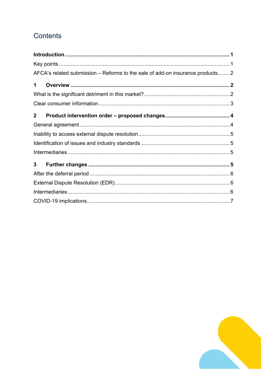# Contents

|                | AFCA's related submission – Reforms to the sale of add-on insurance products2 |  |
|----------------|-------------------------------------------------------------------------------|--|
| $\mathbf 1$    |                                                                               |  |
|                |                                                                               |  |
|                |                                                                               |  |
| $\mathbf{2}$   |                                                                               |  |
|                |                                                                               |  |
|                |                                                                               |  |
|                |                                                                               |  |
|                |                                                                               |  |
| 3 <sup>7</sup> |                                                                               |  |
|                |                                                                               |  |
|                |                                                                               |  |
|                |                                                                               |  |
|                |                                                                               |  |

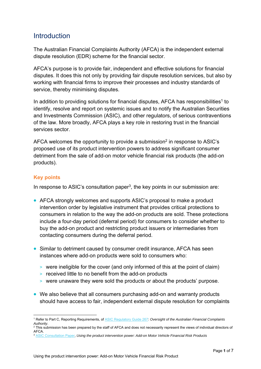# <span id="page-2-0"></span>**Introduction**

The Australian Financial Complaints Authority (AFCA) is the independent external dispute resolution (EDR) scheme for the financial sector.

AFCA's purpose is to provide fair, independent and effective solutions for financial disputes. It does this not only by providing fair dispute resolution services, but also by working with financial firms to improve their processes and industry standards of service, thereby minimising disputes.

In addition to providing solutions for financial disputes, AFCA has responsibilities<sup>1</sup> to identify, resolve and report on systemic issues and to notify the Australian Securities and Investments Commission (ASIC), and other regulators, of serious contraventions of the law. More broadly, AFCA plays a key role in restoring trust in the financial services sector.

AFCA welcomes the opportunity to provide a submission<sup>2</sup> in response to ASIC's proposed use of its product intervention powers to address significant consumer detriment from the sale of add-on motor vehicle financial risk products (the add-on products).

# **Key points**

In response to ASIC's consultation paper<sup>3</sup>, the key points in our submission are:

- AFCA strongly welcomes and supports ASIC's proposal to make a product intervention order by legislative instrument that provides critical protections to consumers in relation to the way the add-on products are sold. These protections include a four-day period (deferral period) for consumers to consider whether to buy the add-on product and restricting product issuers or intermediaries from contacting consumers during the deferral period.
- Similar to detriment caused by consumer credit insurance, AFCA has seen instances where add-on products were sold to consumers who:
	- > were ineligible for the cover (and only informed of this at the point of claim)
	- > received little to no benefit from the add-on products
	- > were unaware they were sold the products or about the products' purpose.
- We also believe that all consumers purchasing add-on and warranty products should have access to fair, independent external dispute resolution for complaints

<sup>1</sup> <sup>1</sup> Refer to Part C, Reporting Requirements, of [ASIC Regulatory Guide 267:](https://download.asic.gov.au/media/5716695/rg267-published-20-june-2018-20200730.pdf) Oversight of the Australian Financial Complaints *Authority.*<br><sup>2</sup> This submission has been prepared by the staff of AFCA and does not necessarily represent the views of individual directors of

AFCA.

<sup>3</sup> [ASIC Consultation Paper,](https://asic.gov.au/about-asic/news-centre/find-a-media-release/2020-releases/20-179mr-asic-consults-on-proposed-product-intervention-order-for-the-sale-of-add-on-motor-vehicle-financial-risk-products/) *Using the product intervention power: Add-on Motor Vehicle Financial Risk Products*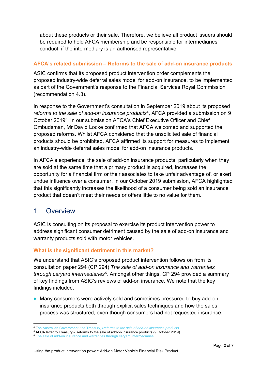<span id="page-3-0"></span>about these products or their sale. Therefore, we believe all product issuers should be required to hold AFCA membership and be responsible for intermediaries' conduct, if the intermediary is an authorised representative.

# **AFCA's related submission – Reforms to the sale of add-on insurance products**

ASIC confirms that its proposed product intervention order complements the proposed industry-wide deferral sales model for add-on insurance, to be implemented as part of the Government's response to the Financial Services Royal Commission (recommendation 4.3).

In response to the Government's consultation in September 2019 about its proposed *reforms to the sale of add-on insurance products*4, AFCA provided a submission on 9 October 20195. In our submission AFCA's Chief Executive Officer and Chief Ombudsman, Mr David Locke confirmed that AFCA welcomed and supported the proposed reforms. Whilst AFCA considered that the unsolicited sale of financial products should be prohibited, AFCA affirmed its support for measures to implement an industry-wide deferral sales model for add-on insurance products.

In AFCA's experience, the sale of add-on insurance products, particularly when they are sold at the same time that a primary product is acquired, increases the opportunity for a financial firm or their associates to take unfair advantage of, or exert undue influence over a consumer. In our October 2019 submission, AFCA highlighted that this significantly increases the likelihood of a consumer being sold an insurance product that doesn't meet their needs or offers little to no value for them.

# 1 Overview

ASIC is consulting on its proposal to exercise its product intervention power to address significant consumer detriment caused by the sale of add-on insurance and warranty products sold with motor vehicles.

# **What is the significant detriment in this market?**

We understand that ASIC's proposed product intervention follows on from its consultation paper 294 (CP 294) *The sale of add-on insurance and warranties through caryard intermediaries6.* Amongst other things, CP 294 provided a summary of key findings from ASIC's reviews of add-on insurance. We note that the key findings included:

 Many consumers were actively sold and sometimes pressured to buy add-on insurance products both through explicit sales techniques and how the sales process was structured, even though consumers had not requested insurance.

 4 The Australian Government, the Treasury, *[Reforms to the sale of add-on insurance products](https://treasury.gov.au/consultation/c2019-t408984)*.

<sup>&</sup>lt;sup>5</sup> AFCA letter to Treasury - Reforms to the sale of add-on insurance products (9 October 2019)

 $<sup>6</sup>$  The sale of add-on insurance and warranties through caryard intermediaries</sup>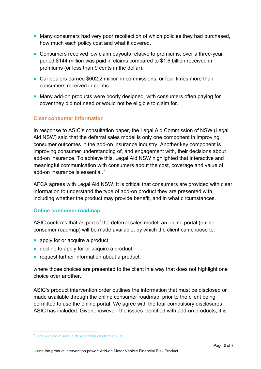- <span id="page-4-0"></span> Many consumers had very poor recollection of which policies they had purchased, how much each policy cost and what it covered.
- Consumers received low claim payouts relative to premiums: over a three-year period \$144 million was paid in claims compared to \$1.6 billion received in premiums (or less than 9 cents in the dollar).
- Car dealers earned \$602.2 million in commissions, or four times more than consumers received in claims.
- Many add-on products were poorly designed, with consumers often paying for cover they did not need or would not be eligible to claim for.

# **Clear consumer information**

In response to ASIC's consultation paper, the Legal Aid Commission of NSW (Legal Aid NSW) said that the deferral sales model is only one component in improving consumer outcomes in the add-on insurance industry. Another key component is improving consumer understanding of, and engagement with, their decisions about add-on insurance. To achieve this, Legal Aid NSW highlighted that interactive and meaningful communication with consumers about the cost, coverage and value of add-on insurance is essential.<sup>7</sup>

AFCA agrees with Legal Aid NSW. It is critical that consumers are provided with clear information to understand the type of add-on product they are presented with, including whether the product may provide benefit, and in what circumstances.

# **Online consumer roadmap**

ASIC confirms that as part of the deferral sales model, an online portal (online consumer roadmap) will be made available, by which the client can choose to:

- apply for or acquire a product
- decline to apply for or acquire a product
- request further information about a product,

where those choices are presented to the client in a way that does not highlight one choice over another.

ASIC's product intervention order outlines the information that must be disclosed or made available through the online consumer roadmap, prior to the client being permitted to use the online portal. We agree with the four compulsory disclosures ASIC has included. Given, however, the issues identified with add-on products, it is

<sup>&</sup>lt;u>.</u> <sup>7</sup> [Legal Aid Commission o NSW submission October 2017](https://download.asic.gov.au/media/4580577/legal-aid-nsw-cp294-submission.pdf)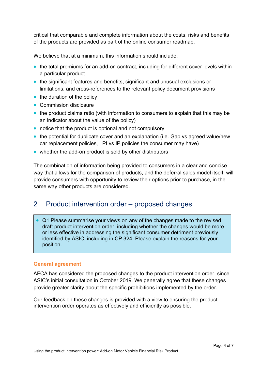<span id="page-5-0"></span>critical that comparable and complete information about the costs, risks and benefits of the products are provided as part of the online consumer roadmap.

We believe that at a minimum, this information should include:

- the total premiums for an add-on contract, including for different cover levels within a particular product
- the significant features and benefits, significant and unusual exclusions or limitations, and cross-references to the relevant policy document provisions
- $\bullet$  the duration of the policy
- Commission disclosure
- the product claims ratio (with information to consumers to explain that this may be an indicator about the value of the policy)
- notice that the product is optional and not compulsory
- the potential for duplicate cover and an explanation (i.e. Gap vs agreed value/new car replacement policies, LPI vs IP policies the consumer may have)
- whether the add-on product is sold by other distributors

The combination of information being provided to consumers in a clear and concise way that allows for the comparison of products, and the deferral sales model itself, will provide consumers with opportunity to review their options prior to purchase, in the same way other products are considered.

# 2 Product intervention order – proposed changes

 Q1 Please summarise your views on any of the changes made to the revised draft product intervention order, including whether the changes would be more or less effective in addressing the significant consumer detriment previously identified by ASIC, including in CP 324. Please explain the reasons for your position.

#### **General agreement**

AFCA has considered the proposed changes to the product intervention order, since ASIC's initial consultation in October 2019. We generally agree that these changes provide greater clarity about the specific prohibitions implemented by the order.

Our feedback on these changes is provided with a view to ensuring the product intervention order operates as effectively and efficiently as possible.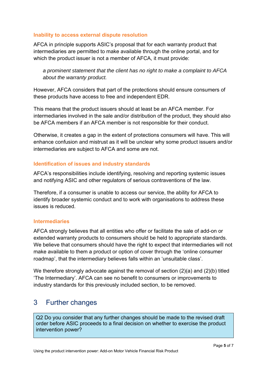## <span id="page-6-0"></span>**Inability to access external dispute resolution**

AFCA in principle supports ASIC's proposal that for each warranty product that intermediaries are permitted to make available through the online portal, and for which the product issuer is not a member of AFCA, it must provide:

*a prominent statement that the client has no right to make a complaint to AFCA about the warranty product.* 

However, AFCA considers that part of the protections should ensure consumers of these products have access to free and independent EDR.

This means that the product issuers should at least be an AFCA member. For intermediaries involved in the sale and/or distribution of the product, they should also be AFCA members if an AFCA member is not responsible for their conduct.

Otherwise, it creates a gap in the extent of protections consumers will have. This will enhance confusion and mistrust as it will be unclear why some product issuers and/or intermediaries are subject to AFCA and some are not.

## **Identification of issues and industry standards**

AFCA's responsibilities include identifying, resolving and reporting systemic issues and notifying ASIC and other regulators of serious contraventions of the law.

Therefore, if a consumer is unable to access our service, the ability for AFCA to identify broader systemic conduct and to work with organisations to address these issues is reduced.

#### **Intermediaries**

AFCA strongly believes that all entities who offer or facilitate the sale of add-on or extended warranty products to consumers should be held to appropriate standards. We believe that consumers should have the right to expect that intermediaries will not make available to them a product or option of cover through the 'online consumer roadmap', that the intermediary believes falls within an 'unsuitable class'.

We therefore strongly advocate against the removal of section (2)(a) and (2)(b) titled 'The Intermediary'. AFCA can see no benefit to consumers or improvements to industry standards for this previously included section, to be removed.

# 3 Further changes

Q2 Do you consider that any further changes should be made to the revised draft order before ASIC proceeds to a final decision on whether to exercise the product intervention power?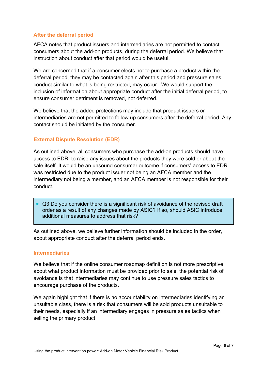# <span id="page-7-0"></span>**After the deferral period**

AFCA notes that product issuers and intermediaries are not permitted to contact consumers about the add-on products, during the deferral period. We believe that instruction about conduct after that period would be useful.

We are concerned that if a consumer elects not to purchase a product within the deferral period, they may be contacted again after this period and pressure sales conduct similar to what is being restricted, may occur. We would support the inclusion of information about appropriate conduct after the initial deferral period, to ensure consumer detriment is removed, not deferred.

We believe that the added protections may include that product issuers or intermediaries are not permitted to follow up consumers after the deferral period. Any contact should be initiated by the consumer.

## **External Dispute Resolution (EDR)**

As outlined above, all consumers who purchase the add-on products should have access to EDR, to raise any issues about the products they were sold or about the sale itself. It would be an unsound consumer outcome if consumers' access to EDR was restricted due to the product issuer not being an AFCA member and the intermediary not being a member, and an AFCA member is not responsible for their conduct.

 Q3 Do you consider there is a significant risk of avoidance of the revised draft order as a result of any changes made by ASIC? If so, should ASIC introduce additional measures to address that risk?

As outlined above, we believe further information should be included in the order, about appropriate conduct after the deferral period ends.

#### **Intermediaries**

We believe that if the online consumer roadmap definition is not more prescriptive about what product information must be provided prior to sale, the potential risk of avoidance is that intermediaries may continue to use pressure sales tactics to encourage purchase of the products.

We again highlight that if there is no accountability on intermediaries identifying an unsuitable class, there is a risk that consumers will be sold products unsuitable to their needs, especially if an intermediary engages in pressure sales tactics when selling the primary product.